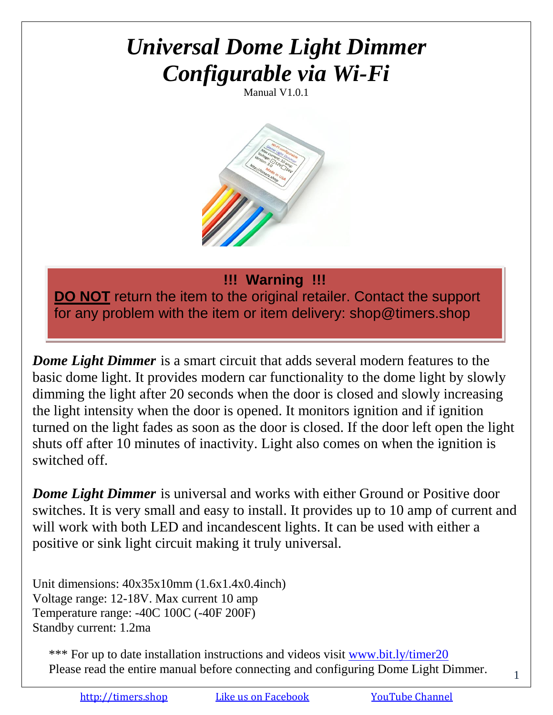# *Universal Dome Light Dimmer Configurable via Wi-Fi*

Manual V1.0.1



#### **!!! Warning !!!**

**DO NOT** return the item to the original retailer. Contact the support for any problem with the item or item delivery: shop@timers.shop

*Dome Light Dimmer* is a smart circuit that adds several modern features to the basic dome light. It provides modern car functionality to the dome light by slowly dimming the light after 20 seconds when the door is closed and slowly increasing the light intensity when the door is opened. It monitors ignition and if ignition turned on the light fades as soon as the door is closed. If the door left open the light shuts off after 10 minutes of inactivity. Light also comes on when the ignition is switched off.

*Dome Light Dimmer* is universal and works with either Ground or Positive door switches. It is very small and easy to install. It provides up to 10 amp of current and will work with both LED and incandescent lights. It can be used with either a positive or sink light circuit making it truly universal.

Unit dimensions: 40x35x10mm (1.6x1.4x0.4inch) Voltage range: 12-18V. Max current 10 amp Temperature range: -40C 100C (-40F 200F) Standby current: 1.2ma

\*\*\* For up to date installation instructions and videos visit [www.bit.ly/timer20](http://www.bit.ly/timer20) Please read the entire manual before connecting and configuring Dome Light Dimmer.

1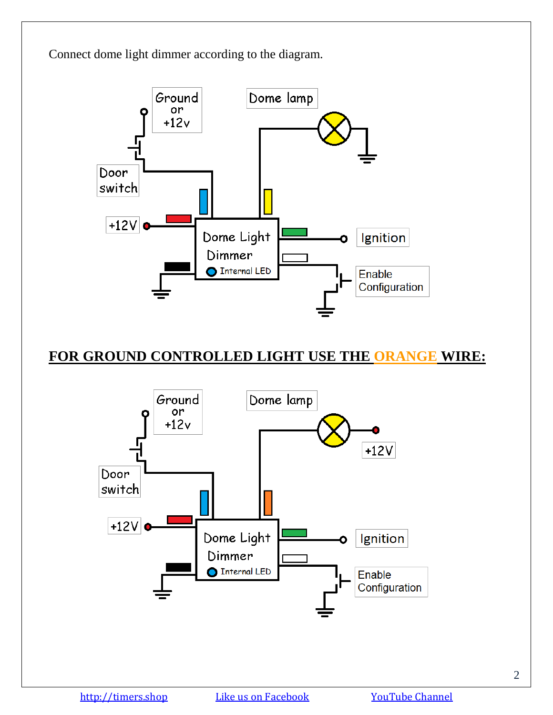

### **FOR GROUND CONTROLLED LIGHT USE THE ORANGE WIRE:**

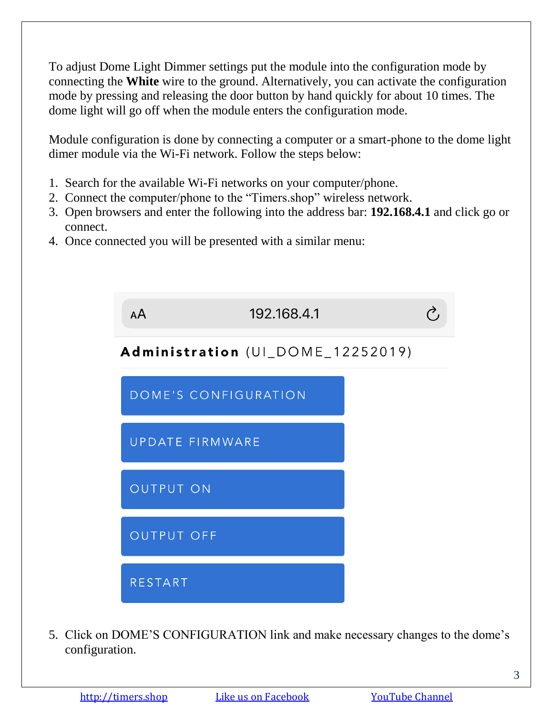To adjust Dome Light Dimmer settings put the module into the configuration mode by connecting the **White** wire to the ground. Alternatively, you can activate the configuration mode by pressing and releasing the door button by hand quickly for about 10 times. The dome light will go off when the module enters the configuration mode.

Module configuration is done by connecting a computer or a smart-phone to the dome light dimer module via the Wi-Fi network. Follow the steps below:

- 1. Search for the available Wi-Fi networks on your computer/phone.
- 2. Connect the computer/phone to the "Timers.shop" wireless network.
- 3. Open browsers and enter the following into the address bar: **192.168.4.1** and click go or connect.
- 4. Once connected you will be presented with a similar menu:



5. Click on DOME'S CONFIGURATION link and make necessary changes to the dome's configuration.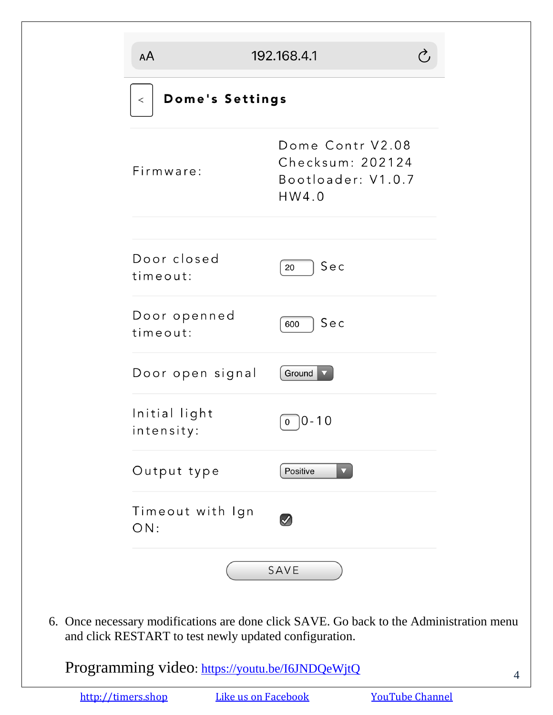| Dome's Settings<br>$\,<$    |                                                                     |  |
|-----------------------------|---------------------------------------------------------------------|--|
| Firmware:                   | Dome Contr V2.08<br>Checksum: 202124<br>Bootloader: V1.0.7<br>HW4.0 |  |
| Door closed<br>timeout:     | Sec<br>20                                                           |  |
| Door openned<br>timeout:    | Sec<br>600                                                          |  |
| Door open signal            | Ground                                                              |  |
| Initial light<br>intensity: | $0 - 10$<br>0                                                       |  |
| Output type                 | Positive                                                            |  |
| Timeout with Ign<br>ON:     | $\langle$                                                           |  |

6. Once necessary modifications are done click SAVE. Go back to the Administration menu and click RESTART to test newly updated configuration.

Programming video:<https://youtu.be/I6JNDQeWjtQ>

[http://timers.shop](http://timers.shop/) [Like us on Facebook](https://www.facebook.com/Timers.shop/) [YouTube Channel](https://www.youtube.com/channel/UCbpu3gvLfIKE2aaYHqsxm0A)